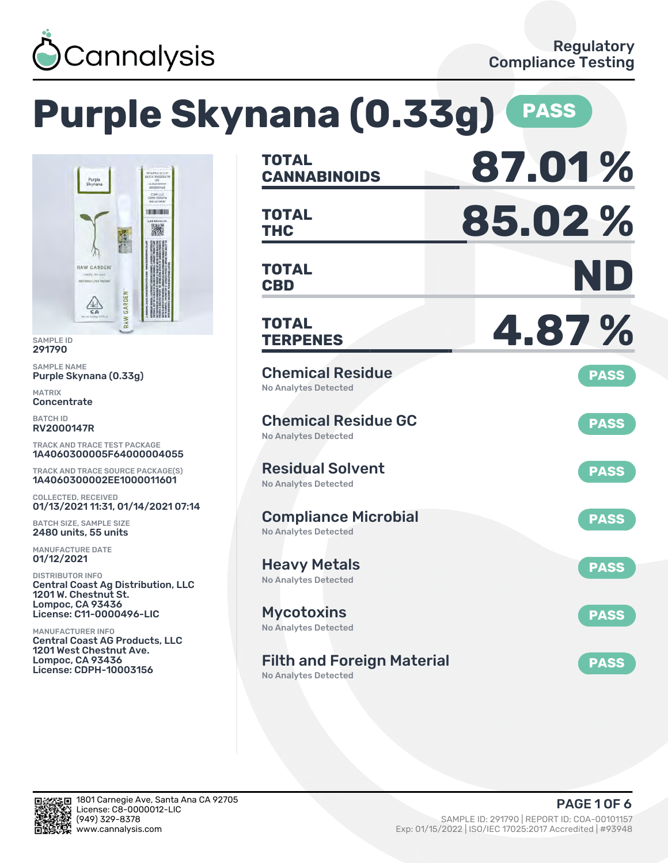

# **Purple Skynana (0.33g) PASS**



SAMPLE ID 291790

SAMPLE NAME Purple Skynana (0.33g)

MATRIX Concentrate

BATCH ID RV2000147R

TRACK AND TRACE TEST PACKAGE 1A4060300005F64000004055

TRACK AND TRACE SOURCE PACKAGE(S) 1A4060300002EE1000011601

COLLECTED, RECEIVED 01/13/2021 11:31, 01/14/2021 07:14

BATCH SIZE, SAMPLE SIZE 2480 units, 55 units

MANUFACTURE DATE 01/12/2021

DISTRIBUTOR INFO Central Coast Ag Distribution, LLC 1201 W. Chestnut St. Lompoc, CA 93436 License: C11-0000496-LIC

MANUFACTURER INFO Central Coast AG Products, LLC 1201 West Chestnut Ave. Lompoc, CA 93436 License: CDPH-10003156

| <b>TOTAL</b><br><b>CANNABINOIDS</b>                              | 87.01%      |
|------------------------------------------------------------------|-------------|
| <b>TOTAL</b><br><b>THC</b>                                       | 85.02%      |
| <b>TOTAL</b><br><b>CBD</b>                                       | ND          |
| <b>TOTAL</b><br><b>TERPENES</b>                                  | 4.87%       |
| <b>Chemical Residue</b><br><b>No Analytes Detected</b>           | <b>PASS</b> |
| <b>Chemical Residue GC</b><br><b>No Analytes Detected</b>        | <b>PASS</b> |
| <b>Residual Solvent</b><br><b>No Analytes Detected</b>           | <b>PASS</b> |
| <b>Compliance Microbial</b><br><b>No Analytes Detected</b>       | <b>PASS</b> |
| Heavy Metals<br><b>No Analytes Detected</b>                      | <b>PASS</b> |
| <b>Mycotoxins</b><br>No Analytes Detected                        | <b>PASS</b> |
| <b>Filth and Foreign Material</b><br><b>No Analytes Detected</b> | <b>PASS</b> |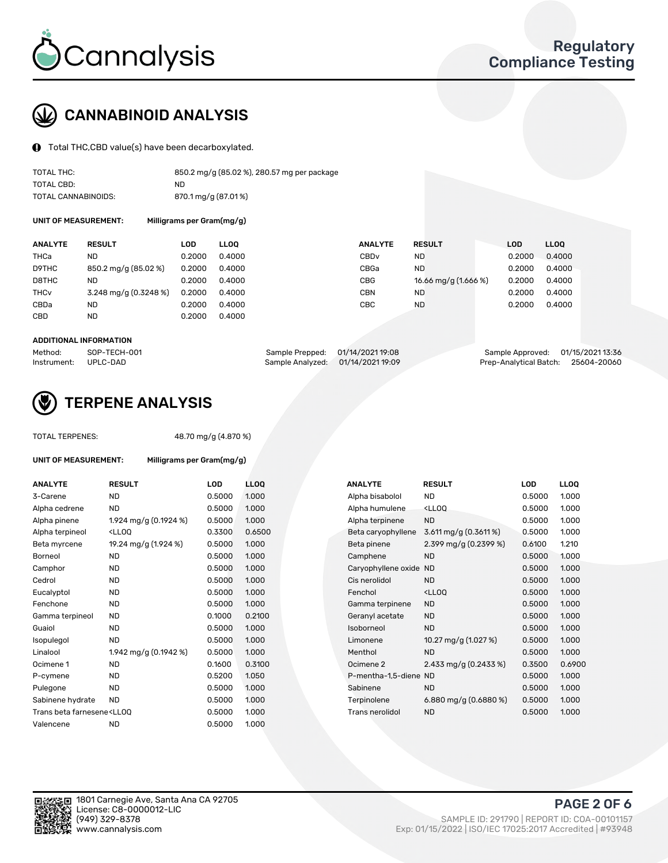

### CANNABINOID ANALYSIS

Total THC,CBD value(s) have been decarboxylated.

| TOTAL THC:          | 850.2 mg/g (85.02 %), 280.57 mg per package |
|---------------------|---------------------------------------------|
| TOTAL CBD:          | ND.                                         |
| TOTAL CANNABINOIDS: | 870.1 mg/g (87.01%)                         |

UNIT OF MEASUREMENT: Milligrams per Gram(mg/g)

| <b>ANALYTE</b>         | <b>RESULT</b>           | LOD    | <b>LLOO</b> | <b>ANALYTE</b>   | <b>RESULT</b>        | <b>LOD</b> | <b>LLOO</b> |
|------------------------|-------------------------|--------|-------------|------------------|----------------------|------------|-------------|
| THCa                   | ND                      | 0.2000 | 0.4000      | CBD <sub>v</sub> | ND                   | 0.2000     | 0.4000      |
| D9THC                  | 850.2 mg/g (85.02 %)    | 0.2000 | 0.4000      | CBGa             | ND.                  | 0.2000     | 0.4000      |
| D8THC                  | <b>ND</b>               | 0.2000 | 0.4000      | CBG              | 16.66 mg/g (1.666 %) | 0.2000     | 0.4000      |
| <b>THC<sub>v</sub></b> | $3.248$ mg/g (0.3248 %) | 0.2000 | 0.4000      | CBN              | ND                   | 0.2000     | 0.4000      |
| CBDa                   | <b>ND</b>               | 0.2000 | 0.4000      | CBC              | <b>ND</b>            | 0.2000     | 0.4000      |
| <b>CBD</b>             | <b>ND</b>               | 0.2000 | 0.4000      |                  |                      |            |             |

#### ADDITIONAL INFORMATION

| Method:              | SOP-TECH-001 | Sample Prepped: 01/14/2021 19:08  | Sample Approved: 01/15/2021 13:36  |  |
|----------------------|--------------|-----------------------------------|------------------------------------|--|
| Instrument: UPLC-DAD |              | Sample Analyzed: 01/14/2021 19:09 | Prep-Analytical Batch: 25604-20060 |  |



### TERPENE ANALYSIS

TOTAL TERPENES: 48.70 mg/g (4.870 %)

| UNIT OF MEASUREMENT: | Milligrams per Gram(mg/g)                     |        |                          |
|----------------------|-----------------------------------------------|--------|--------------------------|
| <b>ANALYTE</b>       | <b>RESULT</b>                                 | LOD    |                          |
| 3-Carene             | ND                                            | 0.5000 |                          |
| Alpha cedrene        | ND                                            | 0.5000 | $\cdot$                  |
| Alpha pinene         | 1.924 mg/g $(0.1924\%)$                       | 0.5000 | ł                        |
| Alpha terpineol      | <ll00< td=""><td>0.3300</td><td></td></ll00<> | 0.3300 |                          |
| Beta myrcene         | 19.24 mg/g (1.924 %)                          | 0.5000 | $\overline{\phantom{a}}$ |
| Borneol              | <b>ND</b>                                     | 0.5000 | $\cdot$                  |
| Camphor              | ND.                                           | 0.5000 | $\cdot$                  |
| Cedrol               | ND.                                           | 0.5000 | $\cdot$                  |
| Eucalyptol           | <b>ND</b>                                     | 0.5000 | $\cdot$                  |

| ANALYTE                                                                                                                                                 | <b>RESULT</b>                                                                                                                             | LOD    | <b>LLOQ</b> | <b>ANALYTE</b>         | <b>RESULT</b>                                      | <b>LOD</b> | <b>LLOQ</b> |
|---------------------------------------------------------------------------------------------------------------------------------------------------------|-------------------------------------------------------------------------------------------------------------------------------------------|--------|-------------|------------------------|----------------------------------------------------|------------|-------------|
| 3-Carene                                                                                                                                                | <b>ND</b>                                                                                                                                 | 0.5000 | 1.000       | Alpha bisabolol        | <b>ND</b>                                          | 0.5000     | 1.000       |
| Alpha cedrene                                                                                                                                           | <b>ND</b>                                                                                                                                 | 0.5000 | 1.000       | Alpha humulene         | <lloq< td=""><td>0.5000</td><td>1.000</td></lloq<> | 0.5000     | 1.000       |
| Alpha pinene                                                                                                                                            | 1.924 mg/g (0.1924 %)                                                                                                                     | 0.5000 | 1.000       | Alpha terpinene        | <b>ND</b>                                          | 0.5000     | 1.000       |
| Alpha terpineol                                                                                                                                         | <lloq< td=""><td>0.3300</td><td>0.6500</td><td>Beta caryophyllene</td><td>3.611 mg/g (0.3611 %)</td><td>0.5000</td><td>1.000</td></lloq<> | 0.3300 | 0.6500      | Beta caryophyllene     | 3.611 mg/g (0.3611 %)                              | 0.5000     | 1.000       |
| Beta myrcene                                                                                                                                            | 19.24 mg/g (1.924 %)                                                                                                                      | 0.5000 | 1.000       | Beta pinene            | 2.399 mg/g $(0.2399\%)$                            | 0.6100     | 1.210       |
| Borneol                                                                                                                                                 | ND                                                                                                                                        | 0.5000 | 1.000       | Camphene               | <b>ND</b>                                          | 0.5000     | 1.000       |
| Camphor                                                                                                                                                 | <b>ND</b>                                                                                                                                 | 0.5000 | 1.000       | Caryophyllene oxide ND |                                                    | 0.5000     | 1.000       |
| Cedrol                                                                                                                                                  | <b>ND</b>                                                                                                                                 | 0.5000 | 1.000       | Cis nerolidol          | <b>ND</b>                                          | 0.5000     | 1.000       |
| Eucalyptol                                                                                                                                              | <b>ND</b>                                                                                                                                 | 0.5000 | 1.000       | Fenchol                | <lloq< td=""><td>0.5000</td><td>1.000</td></lloq<> | 0.5000     | 1.000       |
| Fenchone                                                                                                                                                | <b>ND</b>                                                                                                                                 | 0.5000 | 1.000       | Gamma terpinene        | <b>ND</b>                                          | 0.5000     | 1.000       |
| Gamma terpineol                                                                                                                                         | <b>ND</b>                                                                                                                                 | 0.1000 | 0.2100      | Geranyl acetate        | <b>ND</b>                                          | 0.5000     | 1.000       |
| Guaiol                                                                                                                                                  | ND                                                                                                                                        | 0.5000 | 1.000       | Isoborneol             | <b>ND</b>                                          | 0.5000     | 1.000       |
| Isopulegol                                                                                                                                              | <b>ND</b>                                                                                                                                 | 0.5000 | 1.000       | Limonene               | 10.27 mg/g (1.027 %)                               | 0.5000     | 1.000       |
| Linalool                                                                                                                                                | 1.942 mg/g (0.1942 %)                                                                                                                     | 0.5000 | 1.000       | Menthol                | <b>ND</b>                                          | 0.5000     | 1.000       |
| Ocimene 1                                                                                                                                               | ND                                                                                                                                        | 0.1600 | 0.3100      | Ocimene 2              | 2.433 mg/g (0.2433 %)                              | 0.3500     | 0.6900      |
| P-cymene                                                                                                                                                | <b>ND</b>                                                                                                                                 | 0.5200 | 1.050       | P-mentha-1,5-diene ND  |                                                    | 0.5000     | 1.000       |
| Pulegone                                                                                                                                                | <b>ND</b>                                                                                                                                 | 0.5000 | 1.000       | Sabinene               | <b>ND</b>                                          | 0.5000     | 1.000       |
| Sabinene hydrate                                                                                                                                        | ND.                                                                                                                                       | 0.5000 | 1.000       | Terpinolene            | 6.880 mg/g $(0.6880\%)$                            | 0.5000     | 1.000       |
| Trans beta farnesene <ll00< td=""><td></td><td>0.5000</td><td>1.000</td><td>Trans nerolidol</td><td><b>ND</b></td><td>0.5000</td><td>1.000</td></ll00<> |                                                                                                                                           | 0.5000 | 1.000       | Trans nerolidol        | <b>ND</b>                                          | 0.5000     | 1.000       |
|                                                                                                                                                         |                                                                                                                                           |        |             |                        |                                                    |            |             |



Sabinene hydrate ND 0.5000 1.000 Trans beta farnesene<LLOQ 0.5000 1.000 Valencene ND 0.5000 1.000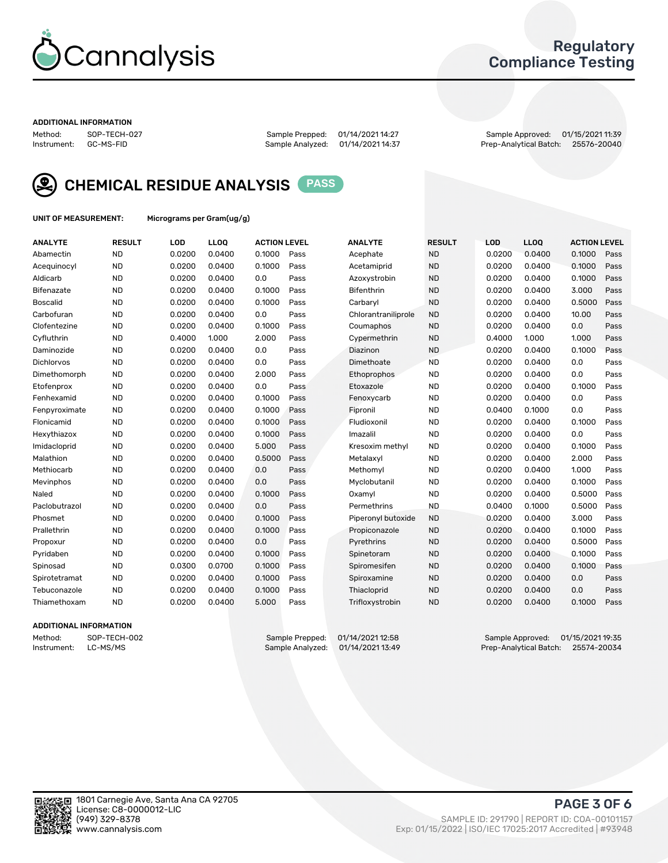

### Regulatory Compliance Testing

#### ADDITIONAL INFORMATION

Method: SOP-TECH-027 Sample Prepped: 01/14/2021 14:27 Sample Approved: 01/15/2021 11:39 Prep-Analytical Batch: 25576-20040



CHEMICAL RESIDUE ANALYSIS PASS

UNIT OF MEASUREMENT: Micrograms per Gram(ug/g)

| <b>ANALYTE</b>    | <b>RESULT</b> | LOD    | LLOQ   | <b>ACTION LEVEL</b> |      | <b>ANALYTE</b>      | <b>RESULT</b> | LOD    | <b>LLOQ</b> | <b>ACTION LEVEL</b> |      |
|-------------------|---------------|--------|--------|---------------------|------|---------------------|---------------|--------|-------------|---------------------|------|
| Abamectin         | <b>ND</b>     | 0.0200 | 0.0400 | 0.1000              | Pass | Acephate            | <b>ND</b>     | 0.0200 | 0.0400      | 0.1000              | Pass |
| Acequinocyl       | <b>ND</b>     | 0.0200 | 0.0400 | 0.1000              | Pass | Acetamiprid         | <b>ND</b>     | 0.0200 | 0.0400      | 0.1000              | Pass |
| Aldicarb          | <b>ND</b>     | 0.0200 | 0.0400 | 0.0                 | Pass | Azoxystrobin        | <b>ND</b>     | 0.0200 | 0.0400      | 0.1000              | Pass |
| Bifenazate        | <b>ND</b>     | 0.0200 | 0.0400 | 0.1000              | Pass | <b>Bifenthrin</b>   | <b>ND</b>     | 0.0200 | 0.0400      | 3.000               | Pass |
| <b>Boscalid</b>   | <b>ND</b>     | 0.0200 | 0.0400 | 0.1000              | Pass | Carbarvl            | <b>ND</b>     | 0.0200 | 0.0400      | 0.5000              | Pass |
| Carbofuran        | <b>ND</b>     | 0.0200 | 0.0400 | 0.0                 | Pass | Chlorantraniliprole | <b>ND</b>     | 0.0200 | 0.0400      | 10.00               | Pass |
| Clofentezine      | <b>ND</b>     | 0.0200 | 0.0400 | 0.1000              | Pass | Coumaphos           | <b>ND</b>     | 0.0200 | 0.0400      | 0.0                 | Pass |
| Cyfluthrin        | <b>ND</b>     | 0.4000 | 1.000  | 2.000               | Pass | Cypermethrin        | <b>ND</b>     | 0.4000 | 1.000       | 1.000               | Pass |
| Daminozide        | <b>ND</b>     | 0.0200 | 0.0400 | 0.0                 | Pass | Diazinon            | <b>ND</b>     | 0.0200 | 0.0400      | 0.1000              | Pass |
| <b>Dichlorvos</b> | <b>ND</b>     | 0.0200 | 0.0400 | 0.0                 | Pass | Dimethoate          | <b>ND</b>     | 0.0200 | 0.0400      | 0.0                 | Pass |
| Dimethomorph      | <b>ND</b>     | 0.0200 | 0.0400 | 2.000               | Pass | <b>Ethoprophos</b>  | <b>ND</b>     | 0.0200 | 0.0400      | 0.0                 | Pass |
| Etofenprox        | <b>ND</b>     | 0.0200 | 0.0400 | 0.0                 | Pass | Etoxazole           | <b>ND</b>     | 0.0200 | 0.0400      | 0.1000              | Pass |
| Fenhexamid        | <b>ND</b>     | 0.0200 | 0.0400 | 0.1000              | Pass | Fenoxycarb          | <b>ND</b>     | 0.0200 | 0.0400      | 0.0                 | Pass |
| Fenpyroximate     | <b>ND</b>     | 0.0200 | 0.0400 | 0.1000              | Pass | Fipronil            | <b>ND</b>     | 0.0400 | 0.1000      | 0.0                 | Pass |
| Flonicamid        | <b>ND</b>     | 0.0200 | 0.0400 | 0.1000              | Pass | Fludioxonil         | <b>ND</b>     | 0.0200 | 0.0400      | 0.1000              | Pass |
| Hexythiazox       | <b>ND</b>     | 0.0200 | 0.0400 | 0.1000              | Pass | Imazalil            | <b>ND</b>     | 0.0200 | 0.0400      | 0.0                 | Pass |
| Imidacloprid      | <b>ND</b>     | 0.0200 | 0.0400 | 5.000               | Pass | Kresoxim methyl     | <b>ND</b>     | 0.0200 | 0.0400      | 0.1000              | Pass |
| Malathion         | <b>ND</b>     | 0.0200 | 0.0400 | 0.5000              | Pass | Metalaxyl           | <b>ND</b>     | 0.0200 | 0.0400      | 2.000               | Pass |
| Methiocarb        | <b>ND</b>     | 0.0200 | 0.0400 | 0.0                 | Pass | Methomyl            | <b>ND</b>     | 0.0200 | 0.0400      | 1.000               | Pass |
| Mevinphos         | <b>ND</b>     | 0.0200 | 0.0400 | 0.0                 | Pass | Myclobutanil        | <b>ND</b>     | 0.0200 | 0.0400      | 0.1000              | Pass |
| Naled             | <b>ND</b>     | 0.0200 | 0.0400 | 0.1000              | Pass | Oxamyl              | <b>ND</b>     | 0.0200 | 0.0400      | 0.5000              | Pass |
| Paclobutrazol     | <b>ND</b>     | 0.0200 | 0.0400 | 0.0                 | Pass | Permethrins         | <b>ND</b>     | 0.0400 | 0.1000      | 0.5000              | Pass |
| Phosmet           | <b>ND</b>     | 0.0200 | 0.0400 | 0.1000              | Pass | Piperonyl butoxide  | <b>ND</b>     | 0.0200 | 0.0400      | 3.000               | Pass |
| Prallethrin       | <b>ND</b>     | 0.0200 | 0.0400 | 0.1000              | Pass | Propiconazole       | <b>ND</b>     | 0.0200 | 0.0400      | 0.1000              | Pass |
| Propoxur          | <b>ND</b>     | 0.0200 | 0.0400 | 0.0                 | Pass | Pyrethrins          | <b>ND</b>     | 0.0200 | 0.0400      | 0.5000              | Pass |
| Pyridaben         | <b>ND</b>     | 0.0200 | 0.0400 | 0.1000              | Pass | Spinetoram          | <b>ND</b>     | 0.0200 | 0.0400      | 0.1000              | Pass |
| Spinosad          | <b>ND</b>     | 0.0300 | 0.0700 | 0.1000              | Pass | Spiromesifen        | <b>ND</b>     | 0.0200 | 0.0400      | 0.1000              | Pass |
| Spirotetramat     | <b>ND</b>     | 0.0200 | 0.0400 | 0.1000              | Pass | Spiroxamine         | <b>ND</b>     | 0.0200 | 0.0400      | 0.0                 | Pass |
| Tebuconazole      | <b>ND</b>     | 0.0200 | 0.0400 | 0.1000              | Pass | Thiacloprid         | <b>ND</b>     | 0.0200 | 0.0400      | 0.0                 | Pass |
| Thiamethoxam      | <b>ND</b>     | 0.0200 | 0.0400 | 5.000               | Pass | Trifloxystrobin     | <b>ND</b>     | 0.0200 | 0.0400      | 0.1000              | Pass |

#### ADDITIONAL INFORMATION

Method: SOP-TECH-002 Sample Prepped: 01/14/2021 12:58 Sample Approved: 01/15/2021 19:35<br>Instrument: LC-MS/MS Sample Analyzed: 01/14/2021 13:49 Prep-Analytical Batch: 25574-20034 Prep-Analytical Batch: 25574-20034

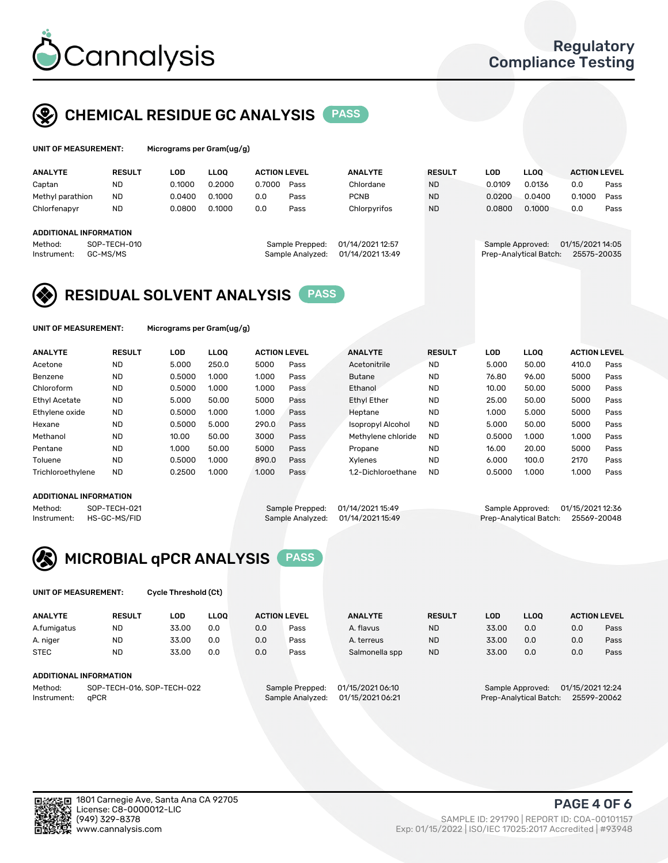

### CHEMICAL RESIDUE GC ANALYSIS PASS

| UNIT OF MEASUREMENT: |               | Micrograms per Gram(ug/g) |        |                     |      |                |               |        |             |                     |      |
|----------------------|---------------|---------------------------|--------|---------------------|------|----------------|---------------|--------|-------------|---------------------|------|
| <b>ANALYTE</b>       | <b>RESULT</b> | LOD                       | LLOO   | <b>ACTION LEVEL</b> |      | <b>ANALYTE</b> | <b>RESULT</b> | LOD    | <b>LLOO</b> | <b>ACTION LEVEL</b> |      |
| Captan               | <b>ND</b>     | 0.1000                    | 0.2000 | 0.7000              | Pass | Chlordane      | <b>ND</b>     | 0.0109 | 0.0136      | 0.0                 | Pass |
| Methyl parathion     | ND.           | 0.0400                    | 0.1000 | 0.0                 | Pass | <b>PCNB</b>    | <b>ND</b>     | 0.0200 | 0.0400      | 0.1000              | Pass |

| Chlorfenapyr | ND                     | 0.0800 | 0.1000 | 0.0 | Pass             | Chlorpvrifos     | <b>ND</b> | 0.1000<br>0.0800                   | 0.0              | Pass |
|--------------|------------------------|--------|--------|-----|------------------|------------------|-----------|------------------------------------|------------------|------|
|              | ADDITIONAL INFORMATION |        |        |     |                  |                  |           |                                    |                  |      |
| Method:      | SOP-TECH-010           |        |        |     | Sample Prepped:  | 01/14/2021 12:57 |           | Sample Approved:                   | 01/15/2021 14:05 |      |
| Instrument:  | GC-MS/MS               |        |        |     | Sample Analyzed: | 01/14/2021 13:49 |           | Prep-Analytical Batch: 25575-20035 |                  |      |

### RESIDUAL SOLVENT ANALYSIS PASS

UNIT OF MEASUREMENT: Micrograms per Gram(ug/g)

| <b>ANALYTE</b>       | <b>RESULT</b> | <b>LOD</b> | <b>LLOO</b> | <b>ACTION LEVEL</b> |      | <b>ANALYTE</b>           | <b>RESULT</b> | <b>LOD</b> | LLOO  | <b>ACTION LEVEL</b> |      |
|----------------------|---------------|------------|-------------|---------------------|------|--------------------------|---------------|------------|-------|---------------------|------|
| Acetone              | <b>ND</b>     | 5.000      | 250.0       | 5000                | Pass | Acetonitrile             | <b>ND</b>     | 5.000      | 50.00 | 410.0               | Pass |
| Benzene              | <b>ND</b>     | 0.5000     | 1.000       | 1.000               | Pass | <b>Butane</b>            | <b>ND</b>     | 76.80      | 96.00 | 5000                | Pass |
| Chloroform           | <b>ND</b>     | 0.5000     | 1.000       | 1.000               | Pass | Ethanol                  | <b>ND</b>     | 10.00      | 50.00 | 5000                | Pass |
| <b>Ethyl Acetate</b> | <b>ND</b>     | 5.000      | 50.00       | 5000                | Pass | <b>Ethyl Ether</b>       | <b>ND</b>     | 25.00      | 50.00 | 5000                | Pass |
| Ethylene oxide       | <b>ND</b>     | 0.5000     | 1.000       | 1.000               | Pass | Heptane                  | <b>ND</b>     | 1.000      | 5.000 | 5000                | Pass |
| Hexane               | <b>ND</b>     | 0.5000     | 5.000       | 290.0               | Pass | <b>Isopropyl Alcohol</b> | <b>ND</b>     | 5.000      | 50.00 | 5000                | Pass |
| Methanol             | <b>ND</b>     | 10.00      | 50.00       | 3000                | Pass | Methylene chloride       | <b>ND</b>     | 0.5000     | 1.000 | 1.000               | Pass |
| Pentane              | <b>ND</b>     | 1.000      | 50.00       | 5000                | Pass | Propane                  | <b>ND</b>     | 16.00      | 20.00 | 5000                | Pass |
| Toluene              | <b>ND</b>     | 0.5000     | 1.000       | 890.0               | Pass | Xvlenes                  | <b>ND</b>     | 6.000      | 100.0 | 2170                | Pass |
| Trichloroethylene    | <b>ND</b>     | 0.2500     | 1.000       | 1.000               | Pass | 1.2-Dichloroethane       | <b>ND</b>     | 0.5000     | 1.000 | 1.000               | Pass |

#### ADDITIONAL INFORMATION

Method: SOP-TECH-021 Sample Prepped: 01/14/2021 15:49 Sample Approved: 01/15/2021 12:36<br>Instrument: HS-GC-MS/FID Sample Analyzed: 01/14/2021 15:49 Prep-Analytical Batch: 25569-20048 Prep-Analytical Batch: 25569-20048



UNIT OF MEASUREMENT: Cycle Threshold (Ct)

| <b>ANALYTE</b>                        | <b>RESULT</b> | LOD   | <b>LLOO</b> |     | <b>ACTION LEVEL</b> | <b>ANALYTE</b>   | <b>RESULT</b> | <b>LOD</b> | <b>LLOO</b>      |                  | <b>ACTION LEVEL</b> |
|---------------------------------------|---------------|-------|-------------|-----|---------------------|------------------|---------------|------------|------------------|------------------|---------------------|
| A.fumigatus                           | <b>ND</b>     | 33.00 | 0.0         | 0.0 | Pass                | A. flavus        | <b>ND</b>     | 33.00      | 0.0              | 0.0              | Pass                |
| A. niger                              | <b>ND</b>     | 33.00 | 0.0         | 0.0 | Pass                | A. terreus       | <b>ND</b>     | 33.00      | 0.0              | 0.0              | Pass                |
| <b>STEC</b>                           | <b>ND</b>     | 33.00 | 0.0         | 0.0 | Pass                | Salmonella spp   | <b>ND</b>     | 33.00      | 0.0              | 0.0              | Pass                |
|                                       |               |       |             |     |                     |                  |               |            |                  |                  |                     |
| ADDITIONAL INFORMATION                |               |       |             |     |                     |                  |               |            |                  |                  |                     |
| SOP-TECH-016, SOP-TECH-022<br>Method: |               |       |             |     | Sample Prepped:     | 01/15/2021 06:10 |               |            | Sample Approved: | 01/15/2021 12:24 |                     |

Instrument: qPCR Sample Analyzed: 01/15/2021 06:21 Prep-Analytical Batch: 25599-20062

PAGE 4 OF 6

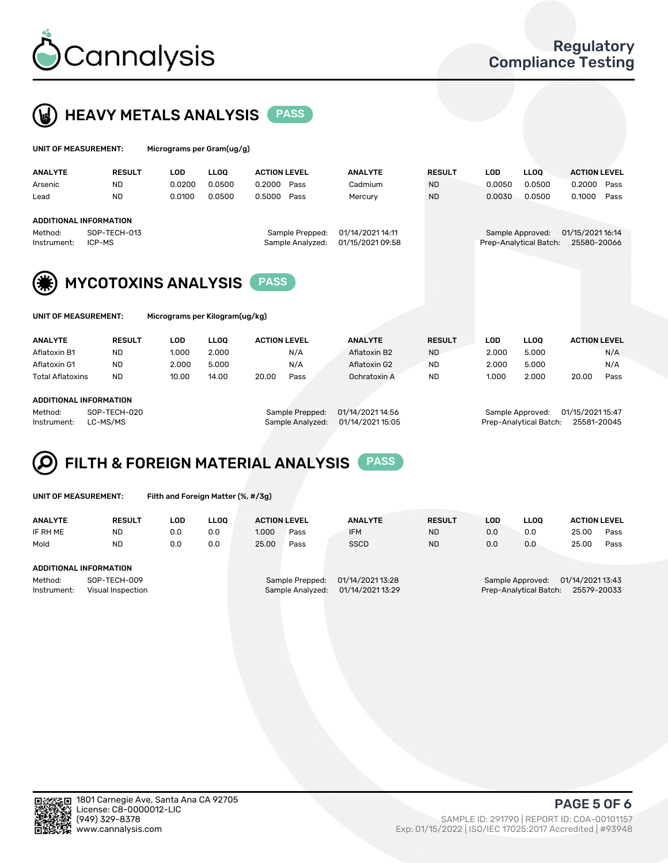



| <b>UNIT OF MEASUREMENT:</b> |               | Micrograms per Gram(ug/g) |             |                     |                |               |        |             |                     |      |
|-----------------------------|---------------|---------------------------|-------------|---------------------|----------------|---------------|--------|-------------|---------------------|------|
| <b>ANALYTE</b>              | <b>RESULT</b> | LOD                       | <b>LLOO</b> | <b>ACTION LEVEL</b> | <b>ANALYTE</b> | <b>RESULT</b> | LOD    | <b>LLOO</b> | <b>ACTION LEVEL</b> |      |
| Arsenic                     | <b>ND</b>     | 0.0200                    | 0.0500      | 0.2000 Pass         | Cadmium        | <b>ND</b>     | 0.0050 | 0.0500      | 0.2000              | Pass |
| Lead                        | <b>ND</b>     | 0.0100                    | 0.0500      | 0.5000 Pass         | Mercury        | <b>ND</b>     | 0.0030 | 0.0500      | 0.1000              | Pass |
| ADDITIONAL INFORMATION      |               |                           |             |                     |                |               |        |             |                     |      |

Method: SOP-TECH-013 Sample Prepped: 01/14/2021 14:11 Sample Approved: 01/15/2021 16:14 Instrument: ICP-MS Sample Analyzed: 01/15/2021 09:58 Prep-Analytical Batch: 25580-20066

MYCOTOXINS ANALYSIS PASS

T: Micrograms per Kilogram(ug/kg)

| <b>ANALYTE</b>          | <b>RESULT</b> | LOD   | <b>LLOO</b> | <b>ACTION LEVEL</b> |      | <b>ANALYTE</b> | <b>RESULT</b> | LOD   | <b>LLOO</b> |       | <b>ACTION LEVEL</b> |
|-------------------------|---------------|-------|-------------|---------------------|------|----------------|---------------|-------|-------------|-------|---------------------|
| Aflatoxin B1            | <b>ND</b>     | 1.000 | 2.000       |                     | N/A  | Aflatoxin B2   | <b>ND</b>     | 2.000 | 5.000       |       | N/A                 |
| Aflatoxin G1            | <b>ND</b>     | 2.000 | 5.000       |                     | N/A  | Aflatoxin G2   | <b>ND</b>     | 2.000 | 5.000       |       | N/A                 |
| <b>Total Aflatoxins</b> | <b>ND</b>     | 10.00 | 14.00       | 20.00               | Pass | Ochratoxin A   | <b>ND</b>     | 1.000 | 2.000       | 20.00 | Pass                |
|                         |               |       |             |                     |      |                |               |       |             |       |                     |

#### ADDITIONAL INFORMATION

Method: SOP-TECH-020 Sample Prepped: 01/14/2021 14:56 Sample Approved: 01/15/2021 15:47 Instrument: LC-MS/MS Sample Analyzed: 01/14/2021 15:05 Prep-Analytical Batch: 25581-20045

## FILTH & FOREIGN MATERIAL ANALYSIS PASS

UNIT OF MEASUREMENT: Filth and Foreign Matter (%, #/3g)

| <b>ANALYTE</b>                                              | <b>RESULT</b> | LOD | <b>LLOO</b> | <b>ACTION LEVEL</b>                                                         |      | <b>ANALYTE</b> | <b>RESULT</b> | LOD | <b>LLOO</b>                                                                   | <b>ACTION LEVEL</b> |      |  |  |
|-------------------------------------------------------------|---------------|-----|-------------|-----------------------------------------------------------------------------|------|----------------|---------------|-----|-------------------------------------------------------------------------------|---------------------|------|--|--|
| IF RH ME                                                    | <b>ND</b>     | 0.0 | 0.0         | 1.000                                                                       | Pass | <b>IFM</b>     | <b>ND</b>     | 0.0 | 0.0                                                                           | 25.00               | Pass |  |  |
| Mold                                                        | <b>ND</b>     | 0.0 | 0.0         | 25.00                                                                       | Pass | <b>SSCD</b>    | <b>ND</b>     | 0.0 | 0.0                                                                           | 25.00               | Pass |  |  |
| ADDITIONAL INFORMATION                                      |               |     |             |                                                                             |      |                |               |     |                                                                               |                     |      |  |  |
| Method:<br>SOP-TECH-009<br>Instrument:<br>Visual Inspection |               |     |             | 01/14/2021 13:28<br>Sample Prepped:<br>01/14/2021 13:29<br>Sample Analyzed: |      |                |               |     | 01/14/2021 13:43<br>Sample Approved:<br>Prep-Analytical Batch:<br>25579-20033 |                     |      |  |  |